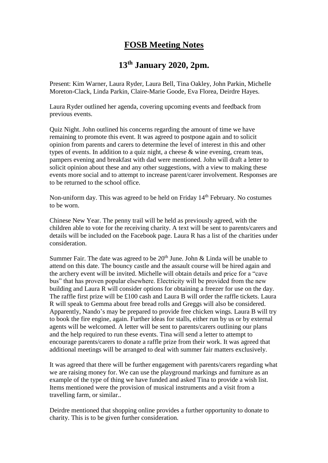## **FOSB Meeting Notes**

## **13th January 2020, 2pm.**

Present: Kim Warner, Laura Ryder, Laura Bell, Tina Oakley, John Parkin, Michelle Moreton-Clack, Linda Parkin, Claire-Marie Goode, Eva Florea, Deirdre Hayes.

Laura Ryder outlined her agenda, covering upcoming events and feedback from previous events.

Quiz Night. John outlined his concerns regarding the amount of time we have remaining to promote this event. It was agreed to postpone again and to solicit opinion from parents and carers to determine the level of interest in this and other types of events. In addition to a quiz night, a cheese & wine evening, cream teas, pampers evening and breakfast with dad were mentioned. John will draft a letter to solicit opinion about these and any other suggestions, with a view to making these events more social and to attempt to increase parent/carer involvement. Responses are to be returned to the school office.

Non-uniform day. This was agreed to be held on Friday 14<sup>th</sup> February. No costumes to be worn.

Chinese New Year. The penny trail will be held as previously agreed, with the children able to vote for the receiving charity. A text will be sent to parents/carers and details will be included on the Facebook page. Laura R has a list of the charities under consideration.

Summer Fair. The date was agreed to be  $20<sup>th</sup>$  June. John & Linda will be unable to attend on this date. The bouncy castle and the assault course will be hired again and the archery event will be invited. Michelle will obtain details and price for a "cave bus" that has proven popular elsewhere. Electricity will be provided from the new building and Laura R will consider options for obtaining a freezer for use on the day. The raffle first prize will be £100 cash and Laura B will order the raffle tickets. Laura R will speak to Gemma about free bread rolls and Greggs will also be considered. Apparently, Nando's may be prepared to provide free chicken wings. Laura B will try to book the fire engine, again. Further ideas for stalls, either run by us or by external agents will be welcomed. A letter will be sent to parents/carers outlining our plans and the help required to run these events. Tina will send a letter to attempt to encourage parents/carers to donate a raffle prize from their work. It was agreed that additional meetings will be arranged to deal with summer fair matters exclusively.

It was agreed that there will be further engagement with parents/carers regarding what we are raising money for. We can use the playground markings and furniture as an example of the type of thing we have funded and asked Tina to provide a wish list. Items mentioned were the provision of musical instruments and a visit from a travelling farm, or similar..

Deirdre mentioned that shopping online provides a further opportunity to donate to charity. This is to be given further consideration.